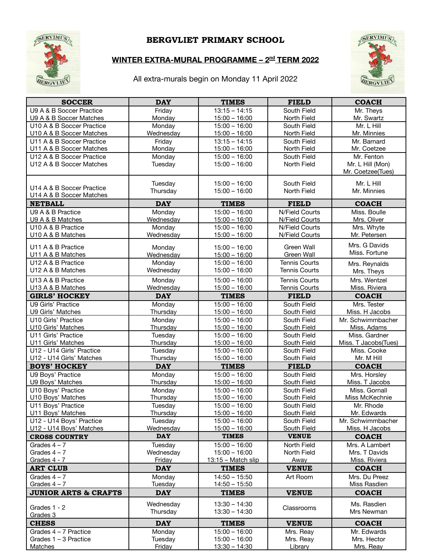

## BERGVLIET PRIMARY SCHOOL

## **WINTER EXTRA-MURAL PROGRAMME – 2 nd TERM 2022**

All extra-murals begin on Monday 11 April 2022



| <b>SOCCER</b>                                   | <b>DAY</b>          | <b>TIMES</b>                       | <b>FIELD</b>               | <b>COACH</b>                   |
|-------------------------------------------------|---------------------|------------------------------------|----------------------------|--------------------------------|
| U9 A & B Soccer Practice                        | Friday              | $13:15 - 14:15$                    | South Field                | Mr. Theys                      |
| U9 A & B Soccer Matches                         | Monday              | $15:00 - 16:00$                    | North Field                | Mr. Swartz                     |
| U10 A & B Soccer Practice                       | Monday              | $15:00 - 16:00$                    | South Field                | Mr. L Hill                     |
| U10 A & B Soccer Matches                        | Wednesday           | $15:00 - 16:00$                    | North Field                | Mr. Minnies                    |
| U11 A & B Soccer Practice                       | Friday              | $13:15 - 14:15$                    | South Field                | Mr. Barnard                    |
| U11 A & B Soccer Matches                        | Monday              | $15:00 - 16:00$                    | North Field                | Mr. Coetzee                    |
| U12 A & B Soccer Practice                       | Monday              | $15:00 - 16:00$                    | South Field                | Mr. Fenton                     |
| U12 A & B Soccer Matches                        | Tuesday             | $15:00 - 16:00$                    | North Field                | Mr. L Hill (Mon)               |
|                                                 |                     |                                    |                            | Mr. Coetzee(Tues)              |
|                                                 | Tuesday             | $15:00 - 16:00$                    | South Field                | Mr. L Hill                     |
| U14 A & B Soccer Practice                       | Thursday            | $15:00 - 16:00$                    | North Field                | Mr. Minnies                    |
| U14 A & B Soccer Matches                        |                     |                                    |                            |                                |
| <b>NETBALL</b>                                  | <b>DAY</b>          | <b>TIMES</b>                       | <b>FIELD</b>               | <b>COACH</b>                   |
| U9 A & B Practice                               | Monday              | $15:00 - 16:00$                    | N/Field Courts             | Miss. Boulle                   |
| U9 A & B Matches                                | Wednesday           | $15:00 - 16:00$                    | N/Field Courts             | Mrs. Oliver                    |
| U10 A & B Practice                              | Monday              | $15:00 - 16:00$                    | N/Field Courts             | Mrs. Whyte                     |
| U10 A & B Matches                               | Wednesday           | $15:00 - 16:00$                    | N/Field Courts             | Mr. Petersen                   |
| U11 A & B Practice                              | Monday              | $15:00 - 16:00$                    | Green Wall                 | Mrs. G Davids                  |
| U11 A & B Matches                               | Wednesday           | $15:00 - 16:00$                    | Green Wall                 | Miss. Fortune                  |
| U12 A & B Practice                              | Monday              | $15:00 - 16:00$                    | <b>Tennis Courts</b>       |                                |
| U12 A & B Matches                               | Wednesday           | $15:00 - 16:00$                    | <b>Tennis Courts</b>       | Mrs. Reynalds                  |
|                                                 |                     |                                    |                            | Mrs. Theys                     |
| U13 A & B Practice                              | Monday              | $15:00 - 16:00$                    | <b>Tennis Courts</b>       | Mrs. Wentzel                   |
| U13 A & B Matches                               | Wednesday           | $15:00 - 16:00$                    | <b>Tennis Courts</b>       | Miss. Riviera                  |
| <b>GIRLS' HOCKEY</b>                            | <b>DAY</b>          | <b>TIMES</b>                       | <b>FIELD</b>               | <b>COACH</b>                   |
| U9 Girls' Practice                              | Monday              | $15:00 - 16:00$                    | South Field                | Mrs. Tester                    |
| U9 Girls' Matches                               | Thursday            | $15:00 - 16:00$                    | South Field                | Miss. H Jacobs                 |
| U10 Girls' Practice                             | Monday              | $15:00 - 16:00$                    | South Field                | Mr. Schwimmbacher              |
| U10 Girls' Matches                              | Thursday            | $15:00 - 16:00$                    | South Field                | Miss. Adams                    |
| U11 Girls' Practice                             | Tuesday             | $15:00 - 16:00$                    | South Field                | Miss. Gardner                  |
| U11 Girls' Matches<br>U12 - U14 Girls' Practice | Thursday            | $15:00 - 16:00$<br>$15:00 - 16:00$ | South Field<br>South Field | Miss. T Jacobs(Tues)           |
| U12 - U14 Girls' Matches                        | Tuesday<br>Thursday | $15:00 - 16:00$                    | South Field                | Miss. Cooke<br>Mr. M Hill      |
| <b>BOYS' HOCKEY</b>                             | <b>DAY</b>          | <b>TIMES</b>                       | <b>FIELD</b>               | <b>COACH</b>                   |
|                                                 |                     |                                    |                            |                                |
| U9 Boys' Practice<br>U9 Boys' Matches           | Monday              | $15:00 - 16:00$<br>$15:00 - 16:00$ | South Field<br>South Field | Mrs. Horsley<br>Miss. T Jacobs |
| U10 Boys' Practice                              | Thursday<br>Monday  | $15:00 - 16:00$                    | South Field                | Miss. Gornall                  |
| U10 Boys' Matches                               | Thursday            | $15:00 - 16:00$                    | South Field                | Miss McKechnie                 |
| U11 Boys' Practice                              | Tuesday             | $15:00 - 16:00$                    | South Field                | Mr. Rhode                      |
| U11 Boys' Matches                               | Thursday            | $15:00 - 16:00$                    | South Field                | Mr. Edwards                    |
| U12 - U14 Boys' Practice                        | Tuesday             | $15:00 - 16:00$                    | South Field                | Mr. Schwimmbacher              |
| U12 - U14 Boys' Matches                         | Wednesday           | $15:00 - 16:00$                    | South Field                | Miss. H Jacobs                 |
| <b>CROSS COUNTRY</b>                            | <b>DAY</b>          | <b>TIMES</b>                       | <b>VENUE</b>               | <b>COACH</b>                   |
| Grades $4 - 7$                                  | Tuesday             | $15:00 - 16:00$                    | North Field                | Mrs. A Lambert                 |
| Grades $4 - 7$                                  | Wednesday           | $15:00 - 16:00$                    | North Field                | Mrs. T Davids                  |
| Grades 4 - 7                                    | Friday              | 13:15 - Match slip                 | Away                       | Miss. Riviera                  |
| <b>ART CLUB</b>                                 | <b>DAY</b>          | <b>TIMES</b>                       | <b>VENUE</b>               | <b>COACH</b>                   |
| Grades $4 - 7$                                  | Monday              | $14:50 - 15:50$                    | Art Room                   | Mrs. Du Preez                  |
| Grades $4 - 7$                                  | Tuesday             | $14:50 - 15:50$                    |                            | Miss Rasdien                   |
| <b>JUNIOR ARTS &amp; CRAFTS</b>                 | <b>DAY</b>          | <b>TIMES</b>                       | <b>VENUE</b>               | <b>COACH</b>                   |
|                                                 |                     |                                    |                            |                                |
| Grades 1 - 2                                    | Wednesday           | $13:30 - 14:30$                    | Classrooms                 | Ms. Rasdien                    |
| Grades 3                                        | Thursday            | $13:30 - 14:30$                    |                            | Mrs Newman                     |
| <b>CHESS</b>                                    | <b>DAY</b>          | <b>TIMES</b>                       | <b>VENUE</b>               | <b>COACH</b>                   |
| Grades 4 - 7 Practice                           | Monday              | $15:00 - 16:00$                    | Mrs. Reay                  | Mr. Edwards                    |
| Grades 1 - 3 Practice                           | Tuesday             | $15:00 - 16:00$                    | Mrs. Reay                  | Mrs. Hector                    |
| <b>Matches</b>                                  | Friday              | $13:30 - 14:30$                    | Library                    | Mrs. Reay                      |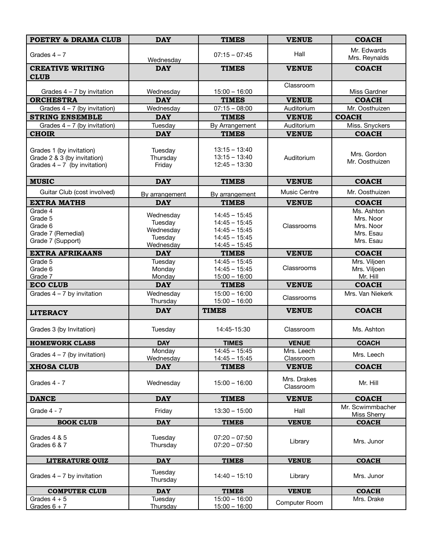| <b>POETRY &amp; DRAMA CLUB</b>                                                            | <b>DAY</b>                                                | <b>TIMES</b>                                                                                | <b>VENUE</b>                     | <b>COACH</b>                                                   |
|-------------------------------------------------------------------------------------------|-----------------------------------------------------------|---------------------------------------------------------------------------------------------|----------------------------------|----------------------------------------------------------------|
| Grades $4 - 7$                                                                            | Wednesday                                                 | $07:15 - 07:45$                                                                             | Hall                             | Mr. Edwards<br>Mrs. Reynalds                                   |
| <b>CREATIVE WRITING</b>                                                                   | <b>DAY</b>                                                | <b>TIMES</b>                                                                                | <b>VENUE</b>                     | <b>COACH</b>                                                   |
| <b>CLUB</b>                                                                               |                                                           |                                                                                             |                                  |                                                                |
| Grades $4 - 7$ by invitation                                                              | Wednesday                                                 | $15:00 - 16:00$                                                                             | Classroom                        | Miss Gardner                                                   |
| <b>ORCHESTRA</b>                                                                          | <b>DAY</b>                                                | <b>TIMES</b>                                                                                | <b>VENUE</b>                     | <b>COACH</b>                                                   |
| Grades $4 - 7$ (by invitation)                                                            | Wednesday                                                 | $07:15 - 08:00$                                                                             | Auditorium                       | Mr. Oosthuizen                                                 |
| <b>STRING ENSEMBLE</b>                                                                    | <b>DAY</b>                                                | <b>TIMES</b>                                                                                | <b>VENUE</b>                     | <b>COACH</b>                                                   |
| Grades $4 - 7$ (by invitation)                                                            | Tuesday                                                   | By Arrangement                                                                              | Auditorium                       | Miss. Snyckers                                                 |
| <b>CHOIR</b>                                                                              | <b>DAY</b>                                                | <b>TIMES</b>                                                                                | <b>VENUE</b>                     | <b>COACH</b>                                                   |
| Grades 1 (by invitation)<br>Grade 2 & 3 (by invitation)<br>Grades $4 - 7$ (by invitation) | Tuesday<br>Thursday<br>Friday                             | $13:15 - 13:40$<br>$13:15 - 13:40$<br>$12:45 - 13:30$                                       | Auditorium                       | Mrs. Gordon<br>Mr. Oosthuizen                                  |
| <b>MUSIC</b>                                                                              | <b>DAY</b>                                                | <b>TIMES</b>                                                                                | <b>VENUE</b>                     | <b>COACH</b>                                                   |
| Guitar Club (cost involved)                                                               | By arrangement                                            | By arrangement                                                                              | <b>Music Centre</b>              | Mr. Oosthuizen                                                 |
| <b>EXTRA MATHS</b>                                                                        | <b>DAY</b>                                                | <b>TIMES</b>                                                                                | <b>VENUE</b>                     | <b>COACH</b>                                                   |
| Grade 4<br>Grade 5<br>Grade 6<br>Grade 7 (Remedial)<br>Grade 7 (Support)                  | Wednesday<br>Tuesday<br>Wednesday<br>Tuesday<br>Wednesday | $14:45 - 15:45$<br>$14:45 - 15:45$<br>$14:45 - 15:45$<br>$14:45 - 15:45$<br>$14:45 - 15:45$ | Classrooms                       | Ms. Ashton<br>Mrs. Noor<br>Mrs. Noor<br>Mrs. Esau<br>Mrs. Esau |
| <b>EXTRA AFRIKAANS</b>                                                                    | <b>DAY</b>                                                | <b>TIMES</b>                                                                                | <b>VENUE</b>                     | <b>COACH</b>                                                   |
| Grade 5<br>Grade 6<br>Grade 7                                                             | Tuesday<br>Monday<br>Monday                               | $14:45 - 15:45$<br>$14:45 - 15:45$<br>$15:00 - 16:00$                                       | Classrooms                       | Mrs. Viljoen<br>Mrs. Viljoen<br>Mr. Hill                       |
| <b>ECO CLUB</b>                                                                           | <b>DAY</b>                                                | <b>TIMES</b>                                                                                | <b>VENUE</b>                     | <b>COACH</b>                                                   |
| Grades $4 - 7$ by invitation                                                              | Wednesday<br>Thursday                                     | $15:00 - 16:00$<br>$15:00 - 16:00$                                                          | Classrooms                       | Mrs. Van Niekerk                                               |
| <b>LITERACY</b>                                                                           | <b>DAY</b>                                                | <b>TIMES</b>                                                                                | <b>VENUE</b>                     | <b>COACH</b>                                                   |
| Grades 3 (by Invitation)                                                                  | Tuesday                                                   | 14:45-15:30                                                                                 | Classroom                        | Ms. Ashton                                                     |
| <b>HOMEWORK CLASS</b>                                                                     | <b>DAY</b>                                                | <b>TIMES</b>                                                                                | <b>VENUE</b>                     | <b>COACH</b>                                                   |
| Grades $4 - 7$ (by invitation)                                                            | Monday                                                    | $14:45 - 15:45$                                                                             | Mrs. Leech                       | Mrs. Leech                                                     |
| <b>XHOSA CLUB</b>                                                                         | Wednesday<br><b>DAY</b>                                   | $14:45 - 15:45$<br><b>TIMES</b>                                                             | <b>Classroom</b><br><b>VENUE</b> | <b>COACH</b>                                                   |
| Grades 4 - 7                                                                              | Wednesday                                                 | $15:00 - 16:00$                                                                             | Mrs. Drakes<br>Classroom         | Mr. Hill                                                       |
| <b>DANCE</b>                                                                              | <b>DAY</b>                                                | <b>TIMES</b>                                                                                | <b>VENUE</b>                     | <b>COACH</b>                                                   |
| Grade $4 - 7$                                                                             | Friday                                                    | $13:30 - 15:00$                                                                             | Hall                             | Mr. Scwimmbacher<br>Miss Sherry                                |
| <b>BOOK CLUB</b>                                                                          | <b>DAY</b>                                                | <b>TIMES</b>                                                                                | <b>VENUE</b>                     | <b>COACH</b>                                                   |
| Grades 4 & 5<br>Grades 6 & 7                                                              | Tuesday<br>Thursday                                       | $07:20 - 07:50$<br>$07:20 - 07:50$                                                          | Library                          | Mrs. Junor                                                     |
| <b>LITERATURE QUIZ</b>                                                                    | <b>DAY</b>                                                | <b>TIMES</b>                                                                                | <b>VENUE</b>                     | <b>COACH</b>                                                   |
| Grades $4 - 7$ by invitation                                                              | Tuesday<br>Thursday                                       | $14:40 - 15:10$                                                                             | Library                          | Mrs. Junor                                                     |
| <b>COMPUTER CLUB</b>                                                                      | <b>DAY</b>                                                | <b>TIMES</b>                                                                                | <b>VENUE</b>                     | <b>COACH</b>                                                   |
| Grades $4 + 5$                                                                            | Tuesday                                                   | $15:00 - 16:00$                                                                             | Computer Room                    | Mrs. Drake                                                     |
| Grades $6 + 7$                                                                            | Thursday                                                  | $15:00 - 16:00$                                                                             |                                  |                                                                |